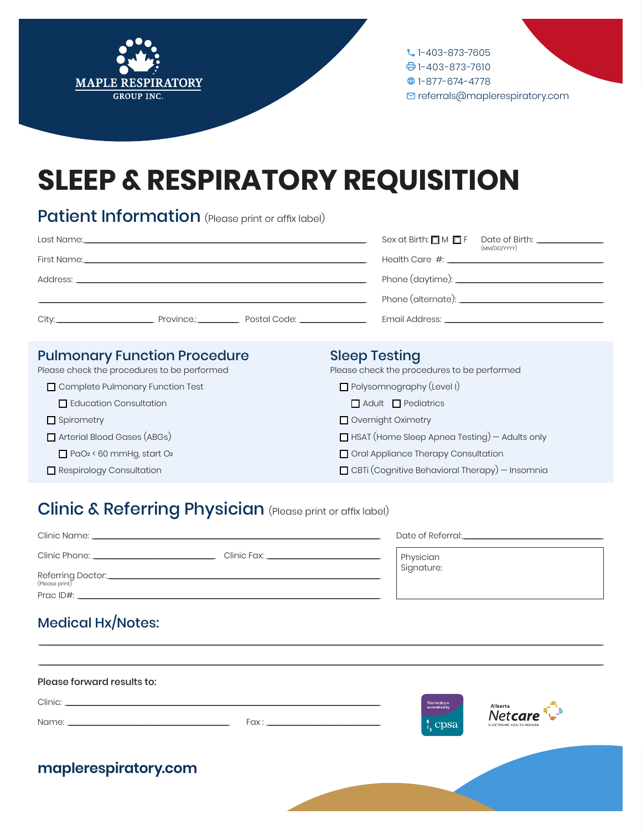



# **SLEEP & RESPIRATORY REQUISITION**

## **Patient Information** (Please print or affix label)

|  | Sex at Birth: $\Box$ M $\Box$ F | Date of Birth: The Contract of Birth:<br>(MM/DD/YYYY)                                                          |
|--|---------------------------------|----------------------------------------------------------------------------------------------------------------|
|  |                                 |                                                                                                                |
|  |                                 |                                                                                                                |
|  |                                 |                                                                                                                |
|  |                                 | Email Address: Email Address: And Address and Address and Address and Address and Address and Address and Addr |

#### **Pulmonary Function Procedure**

Please check the procedures to be performed

- Complete Pulmonary Function Test
	- Education Consultation
- Spirometry
- Arterial Blood Gases (ABGs)
- $\Box$  PaO<sub>2</sub> < 60 mmHg, start O<sub>2</sub>
- Respirology Consultation

#### **Sleep Testing**

Please check the procedures to be performed

- Polysomnography (Level I)
	- Adult Pediatrics
- Overnight Oximetry
- HSAT (Home Sleep Apnea Testing) Adults only
- Oral Appliance Therapy Consultation
- $\Box$  CBTi (Cognitive Behavioral Therapy) Insomnia

## Clinic & Referring Physician (Please print or affix label)

| Clinic Name:                         | Date of Referral:                   |            |
|--------------------------------------|-------------------------------------|------------|
|                                      | Clinic Fax: All and the Clinic Fax: | Physician  |
| Referring Doctor:_<br>(Please print) |                                     | Signature: |
| Prac ID#:                            |                                     |            |

### Medical Hx/Notes:

| Please forward results to: |  |                                                    |                                                                     |
|----------------------------|--|----------------------------------------------------|---------------------------------------------------------------------|
|                            |  | This facility is<br>accredited by<br><b>b</b> cpsa | $\text{Netcare}^{\text{Albert}}$<br><b>FLECTRONIC HEALTH RECORD</b> |
| maplerespiratory.com       |  |                                                    |                                                                     |